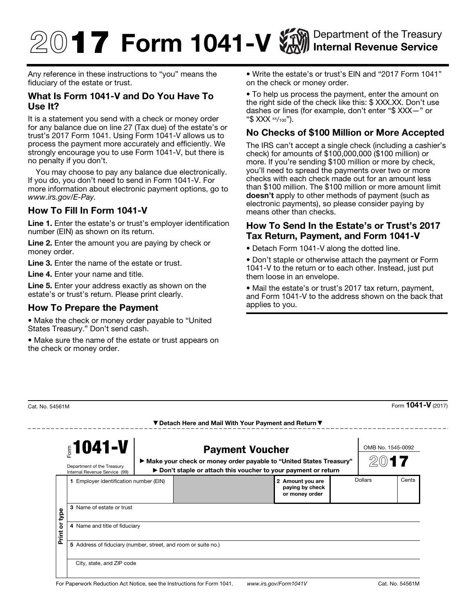# **17 Form 1041-V WAN** Department of the Treasury Internal Revenue Service

Any reference in these instructions to "you" means the fiduciary of the estate or trust.

### What Is Form 1041-V and Do You Have To Use It?

It is a statement you send with a check or money order for any balance due on line 27 (Tax due) of the estate's or trust's 2017 Form 1041. Using Form 1041-V allows us to process the payment more accurately and efficiently. We strongly encourage you to use Form 1041-V, but there is no penalty if you don't.

You may choose to pay any balance due electronically. If you do, you don't need to send in Form 1041-V. For more information about electronic payment options, go to *www.irs.gov/E-Pay.*

## How To Fill In Form 1041-V

Line 1. Enter the estate's or trust's employer identification number (EIN) as shown on its return.

Line 2. Enter the amount you are paying by check or money order.

Line 3. Enter the name of the estate or trust.

Line 4. Enter your name and title.

------

Line 5. Enter your address exactly as shown on the estate's or trust's return. Please print clearly.

#### How To Prepare the Payment

• Make the check or money order payable to "United States Treasury." Don't send cash.

• Make sure the name of the estate or trust appears on the check or money order.

• Write the estate's or trust's EIN and "2017 Form 1041" on the check or money order.

• To help us process the payment, enter the amount on the right side of the check like this: \$ XXX.XX. Don't use dashes or lines (for example, don't enter "\$ XXX—" or "\$ XXX xx/100").

## No Checks of \$100 Million or More Accepted

The IRS can't accept a single check (including a cashier's check) for amounts of \$100,000,000 (\$100 million) or more. If you're sending \$100 million or more by check, you'll need to spread the payments over two or more checks with each check made out for an amount less than \$100 million. The \$100 million or more amount limit doesn't apply to other methods of payment (such as electronic payments), so please consider paying by means other than checks.

#### How To Send In the Estate's or Trust's 2017 Tax Return, Payment, and Form 1041-V

• Detach Form 1041-V along the dotted line.

• Don't staple or otherwise attach the payment or Form 1041-V to the return or to each other. Instead, just put them loose in an envelope.

• Mail the estate's or trust's 2017 tax return, payment, and Form 1041-V to the address shown on the back that applies to you.

| $51041 - V$<br>Department of the Treasury<br>Internal Revenue Service (99) |                                                                | <b>Payment Voucher</b><br>▶ Make your check or money order payable to "United States Treasury"<br>▶ Don't staple or attach this voucher to your payment or return |  |                                                       | OMB No. 1545-0092 |  |       |  |
|----------------------------------------------------------------------------|----------------------------------------------------------------|-------------------------------------------------------------------------------------------------------------------------------------------------------------------|--|-------------------------------------------------------|-------------------|--|-------|--|
| type                                                                       | Employer identification number (EIN)<br>1.                     |                                                                                                                                                                   |  | 2 Amount you are<br>paying by check<br>or money order | Dollars           |  | Cents |  |
|                                                                            | 3 Name of estate or trust                                      |                                                                                                                                                                   |  |                                                       |                   |  |       |  |
| ò<br>Print                                                                 | 4 Name and title of fiduciary                                  |                                                                                                                                                                   |  |                                                       |                   |  |       |  |
|                                                                            | 5 Address of fiduciary (number, street, and room or suite no.) |                                                                                                                                                                   |  |                                                       |                   |  |       |  |
|                                                                            | City, state, and ZIP code                                      |                                                                                                                                                                   |  |                                                       |                   |  |       |  |

 $\frac{1}{2}$ Cat. No. 54561M Form **1041-V** (2017)

▼ Detach Here and Mail With Your Payment and Return ▼